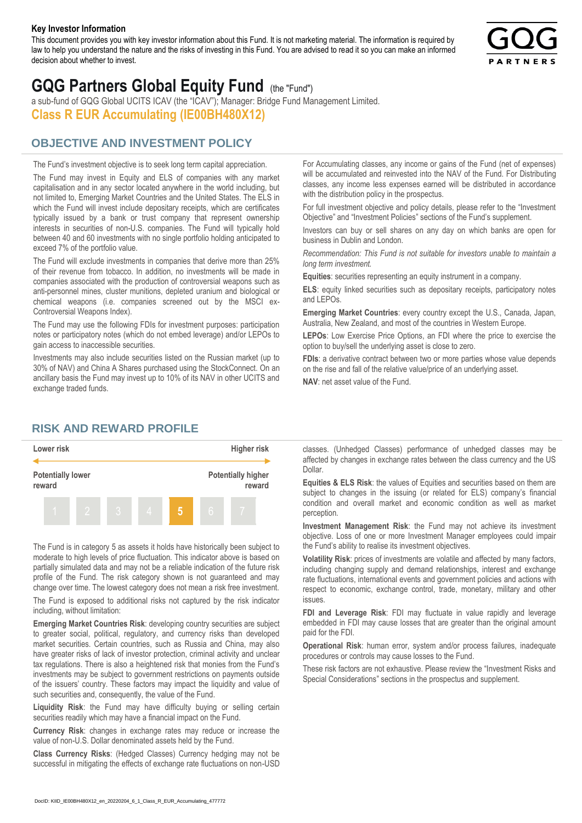#### **Key Investor Information**

This document provides you with key investor information about this Fund. It is not marketing material. The information is required by law to help you understand the nature and the risks of investing in this Fund. You are advised to read it so you can make an informed decision about whether to invest.



# **GQG Partners Global Equity Fund** (the "Fund")

a sub-fund of GQG Global UCITS ICAV (the "ICAV"); Manager: Bridge Fund Management Limited. **Class R EUR Accumulating (IE00BH480X12)**

# **OBJECTIVE AND INVESTMENT POLICY**

The Fund's investment objective is to seek long term capital appreciation. The Fund may invest in Equity and ELS of companies with any market capitalisation and in any sector located anywhere in the world including, but not limited to, Emerging Market Countries and the United States. The ELS in which the Fund will invest include depositary receipts, which are certificates typically issued by a bank or trust company that represent ownership interests in securities of non-U.S. companies. The Fund will typically hold between 40 and 60 investments with no single portfolio holding anticipated to exceed 7% of the portfolio value.

The Fund will exclude investments in companies that derive more than 25% of their revenue from tobacco. In addition, no investments will be made in companies associated with the production of controversial weapons such as anti-personnel mines, cluster munitions, depleted uranium and biological or chemical weapons (i.e. companies screened out by the MSCI ex-Controversial Weapons Index).

The Fund may use the following FDIs for investment purposes: participation notes or participatory notes (which do not embed leverage) and/or LEPOs to gain access to inaccessible securities.

Investments may also include securities listed on the Russian market (up to 30% of NAV) and China A Shares purchased using the StockConnect. On an ancillary basis the Fund may invest up to 10% of its NAV in other UCITS and exchange traded funds.

For Accumulating classes, any income or gains of the Fund (net of expenses) will be accumulated and reinvested into the NAV of the Fund. For Distributing classes, any income less expenses earned will be distributed in accordance with the distribution policy in the prospectus.

For full investment objective and policy details, please refer to the "Investment Objective" and "Investment Policies" sections of the Fund's supplement.

Investors can buy or sell shares on any day on which banks are open for business in Dublin and London.

*Recommendation: This Fund is not suitable for investors unable to maintain a long term investment.*

**Equities**: securities representing an equity instrument in a company.

**ELS**: equity linked securities such as depositary receipts, participatory notes and LEPOs.

**Emerging Market Countries**: every country except the U.S., Canada, Japan, Australia, New Zealand, and most of the countries in Western Europe.

**LEPOs**: Low Exercise Price Options, an FDI where the price to exercise the option to buy/sell the underlying asset is close to zero.

**FDIs**: a derivative contract between two or more parties whose value depends on the rise and fall of the relative value/price of an underlying asset.

**NAV**: net asset value of the Fund.

### **RISK AND REWARD PROFILE**



The Fund is in category 5 as assets it holds have historically been subject to moderate to high levels of price fluctuation. This indicator above is based on partially simulated data and may not be a reliable indication of the future risk profile of the Fund. The risk category shown is not guaranteed and may change over time. The lowest category does not mean a risk free investment.

The Fund is exposed to additional risks not captured by the risk indicator including, without limitation:

**Emerging Market Countries Risk**: developing country securities are subject to greater social, political, regulatory, and currency risks than developed market securities. Certain countries, such as Russia and China, may also have greater risks of lack of investor protection, criminal activity and unclear tax regulations. There is also a heightened risk that monies from the Fund's investments may be subject to government restrictions on payments outside of the issuers' country. These factors may impact the liquidity and value of such securities and, consequently, the value of the Fund.

**Liquidity Risk**: the Fund may have difficulty buying or selling certain securities readily which may have a financial impact on the Fund.

**Currency Risk**: changes in exchange rates may reduce or increase the value of non-U.S. Dollar denominated assets held by the Fund.

**Class Currency Risks**: (Hedged Classes) Currency hedging may not be successful in mitigating the effects of exchange rate fluctuations on non-USD classes. (Unhedged Classes) performance of unhedged classes may be affected by changes in exchange rates between the class currency and the US Dollar.

**Equities & ELS Risk**: the values of Equities and securities based on them are subject to changes in the issuing (or related for ELS) company's financial condition and overall market and economic condition as well as market perception.

**Investment Management Risk**: the Fund may not achieve its investment objective. Loss of one or more Investment Manager employees could impair the Fund's ability to realise its investment objectives.

**Volatility Risk**: prices of investments are volatile and affected by many factors, including changing supply and demand relationships, interest and exchange rate fluctuations, international events and government policies and actions with respect to economic, exchange control, trade, monetary, military and other issues.

**FDI and Leverage Risk**: FDI may fluctuate in value rapidly and leverage embedded in FDI may cause losses that are greater than the original amount paid for the FDI.

**Operational Risk**: human error, system and/or process failures, inadequate procedures or controls may cause losses to the Fund.

These risk factors are not exhaustive. Please review the "Investment Risks and Special Considerations" sections in the prospectus and supplement.